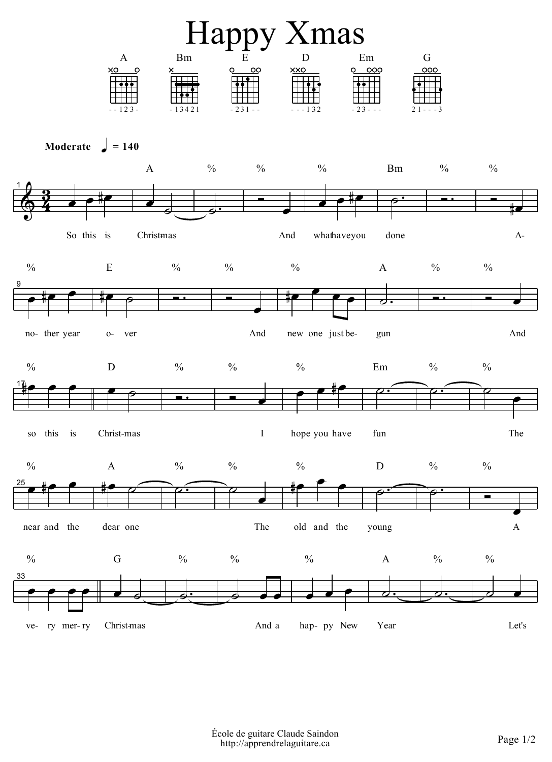